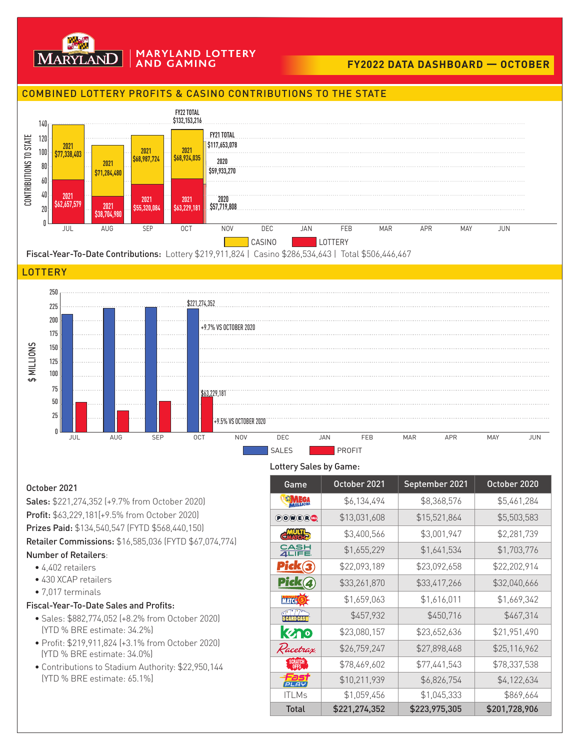

#### **MARYLAND LOTTERY AND GAMING**

# **FY2022 DATA DASHBOARD — OCTOBER**

## COMBINED LOTTERY PROFITS & CASINO CONTRIBUTIONS TO THE STATE



Fiscal-Year-To-Date Contributions: Lottery \$219,911,824 | Casino \$286,534,643 | Total \$506,446,467

### **LOTTERY**



#### Lottery Sales by Game:

October 2021 Sales: \$221,274,352 (+9.7% from October 2020) Profit: \$63,229,181[+9.5% from October 2020) Prizes Paid: \$134,540,547 (FYTD \$568,440,150) Retailer Commissions: \$16,585,036 (FYTD \$67,074,774) Number of Retailers:

- 4,402 retailers
- 430 XCAP retailers
- 7,017 terminals

## Fiscal-Year-To-Date Sales and Profits:

- Sales: \$882,774,052 (+8.2% from October 2020) (YTD % BRE estimate: 34.2%)
- Profit: \$219,911,824 (+3.1% from October 2020) (YTD % BRE estimate: 34.0%)
- Contributions to Stadium Authority: \$22,950,144 (YTD % BRE estimate: 65.1%]

| Game                                                                                       | October 2021  | September 2021 | October 2020  |
|--------------------------------------------------------------------------------------------|---------------|----------------|---------------|
| MALICA                                                                                     | \$6,134,494   | \$8,368,576    | \$5,461,284   |
| $\begin{minipage}{.4\linewidth} \textbf{POW}\textbf{C}\textbf{B}\textbf{W} \end{minipage}$ | \$13,031,608  | \$15,521,864   | \$5,503,583   |
| <b>CMULTI<sub>D</sub></b>                                                                  | \$3,400,566   | \$3,001,947    | \$2,281,739   |
| 유음부                                                                                        | \$1,655,229   | \$1,641,534    | \$1,703,776   |
| <u>Pick(3</u>                                                                              | \$22,093,189  | \$23,092,658   | \$22,202,914  |
| Pick(4)                                                                                    | \$33,261,870  | \$33,417,266   | \$32,040,666  |
| <b>MATCH 5</b>                                                                             | \$1,659,063   | \$1,616,011    | \$1,669,342   |
| <b>FEARD CASH</b>                                                                          | \$457,932     | \$450,716      | \$467,314     |
| kyno                                                                                       | \$23,080,157  | \$23,652,636   | \$21,951,490  |
| Racetrax                                                                                   | \$26,759,247  | \$27,898,468   | \$25,116,962  |
|                                                                                            | \$78,469,602  | \$77,441,543   | \$78,337,538  |
| שם ום                                                                                      | \$10,211,939  | \$6,826,754    | \$4,122,634   |
| <b>ITLMs</b>                                                                               | \$1,059,456   | \$1,045,333    | \$869,664     |
| <b>Total</b>                                                                               | \$221,274,352 | \$223,975,305  | \$201,728,906 |